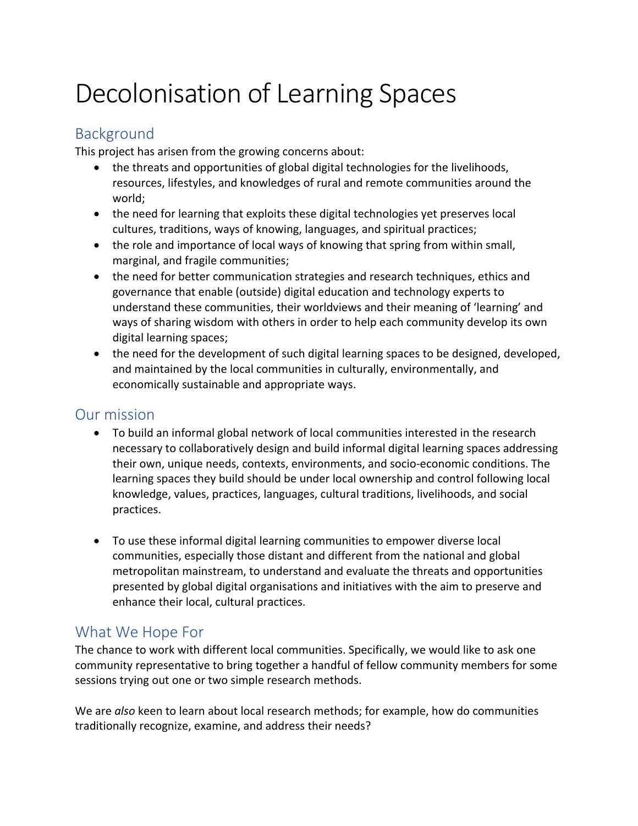# Decolonisation of Learning Spaces

## Background

This project has arisen from the growing concerns about:

- the threats and opportunities of global digital technologies for the livelihoods, resources, lifestyles, and knowledges of rural and remote communities around the world;
- the need for learning that exploits these digital technologies yet preserves local cultures, traditions, ways of knowing, languages, and spiritual practices;
- the role and importance of local ways of knowing that spring from within small, marginal, and fragile communities;
- the need for better communication strategies and research techniques, ethics and governance that enable (outside) digital education and technology experts to understand these communities, their worldviews and their meaning of 'learning' and ways of sharing wisdom with others in order to help each community develop its own digital learning spaces;
- the need for the development of such digital learning spaces to be designed, developed, and maintained by the local communities in culturally, environmentally, and economically sustainable and appropriate ways.

#### Our mission

- To build an informal global network of local communities interested in the research necessary to collaboratively design and build informal digital learning spaces addressing their own, unique needs, contexts, environments, and socio-economic conditions. The learning spaces they build should be under local ownership and control following local knowledge, values, practices, languages, cultural traditions, livelihoods, and social practices.
- To use these informal digital learning communities to empower diverse local communities, especially those distant and different from the national and global metropolitan mainstream, to understand and evaluate the threats and opportunities presented by global digital organisations and initiatives with the aim to preserve and enhance their local, cultural practices.

## What We Hope For

The chance to work with different local communities. Specifically, we would like to ask one community representative to bring together a handful of fellow community members for some sessions trying out one or two simple research methods.

We are *also* keen to learn about local research methods; for example, how do communities traditionally recognize, examine, and address their needs?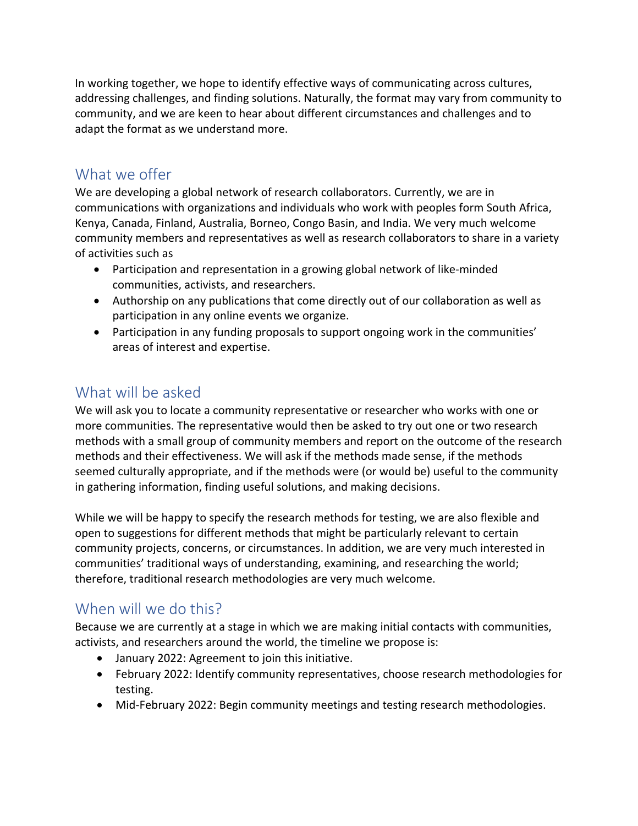In working together, we hope to identify effective ways of communicating across cultures, addressing challenges, and finding solutions. Naturally, the format may vary from community to community, and we are keen to hear about different circumstances and challenges and to adapt the format as we understand more.

#### What we offer

We are developing a global network of research collaborators. Currently, we are in communications with organizations and individuals who work with peoples form South Africa, Kenya, Canada, Finland, Australia, Borneo, Congo Basin, and India. We very much welcome community members and representatives as well as research collaborators to share in a variety of activities such as

- Participation and representation in a growing global network of like-minded communities, activists, and researchers.
- Authorship on any publications that come directly out of our collaboration as well as participation in any online events we organize.
- Participation in any funding proposals to support ongoing work in the communities' areas of interest and expertise.

#### What will be asked

We will ask you to locate a community representative or researcher who works with one or more communities. The representative would then be asked to try out one or two research methods with a small group of community members and report on the outcome of the research methods and their effectiveness. We will ask if the methods made sense, if the methods seemed culturally appropriate, and if the methods were (or would be) useful to the community in gathering information, finding useful solutions, and making decisions.

While we will be happy to specify the research methods for testing, we are also flexible and open to suggestions for different methods that might be particularly relevant to certain community projects, concerns, or circumstances. In addition, we are very much interested in communities' traditional ways of understanding, examining, and researching the world; therefore, traditional research methodologies are very much welcome.

## When will we do this?

Because we are currently at a stage in which we are making initial contacts with communities, activists, and researchers around the world, the timeline we propose is:

- January 2022: Agreement to join this initiative.
- February 2022: Identify community representatives, choose research methodologies for testing.
- Mid-February 2022: Begin community meetings and testing research methodologies.